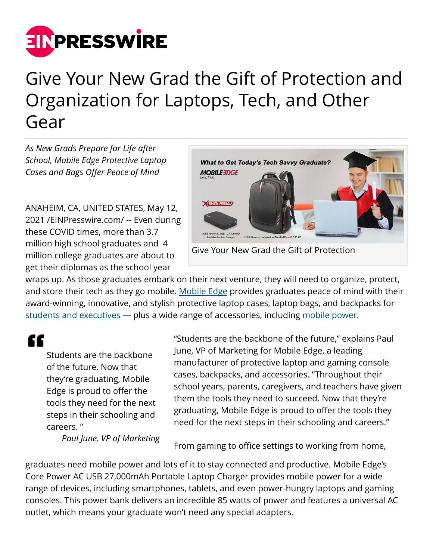

## Give Your New Grad the Gift of Protection and Organization for Laptops, Tech, and Other Gear

*As New Grads Prepare for Life after School, Mobile Edge Protective Laptop Cases and Bags Offer Peace of Mind*

ANAHEIM, CA, UNITED STATES, May 12, 2021 /[EINPresswire.com](http://www.einpresswire.com)/ -- Even during these COVID times, more than 3.7 million high school graduates and 4 million college graduates are about to get their diplomas as the school year



Give Your New Grad the Gift of Protection

wraps up. As those graduates embark on their next venture, they will need to organize, protect, and store their tech as they go mobile. [Mobile Edge](http://www.mobileedge.com) provides graduates peace of mind with their award-winning, innovative, and stylish protective laptop cases, laptop bags, and backpacks for [students and executives](https://www.mobileedge.com/collections/elementary-high-school-college-graduate/) - plus a wide range of accessories, including [mobile power.](https://www.mobileedge.com/accessories/mobile-edge-battery-charger-power)

££

Students are the backbone of the future. Now that they're graduating, Mobile Edge is proud to offer the tools they need for the next steps in their schooling and careers. "

*Paul June, VP of Marketing*

"Students are the backbone of the future," explains Paul June, VP of Marketing for Mobile Edge, a leading manufacturer of protective laptop and gaming console cases, backpacks, and accessories. "Throughout their school years, parents, caregivers, and teachers have given them the tools they need to succeed. Now that they're graduating, Mobile Edge is proud to offer the tools they need for the next steps in their schooling and careers."

From gaming to office settings to working from home,

graduates need mobile power and lots of it to stay connected and productive. Mobile Edge's Core Power AC USB 27,000mAh Portable Laptop Charger provides mobile power for a wide range of devices, including smartphones, tablets, and even power-hungry laptops and gaming consoles. This power bank delivers an incredible 85 watts of power and features a universal AC outlet, which means your graduate won't need any special adapters.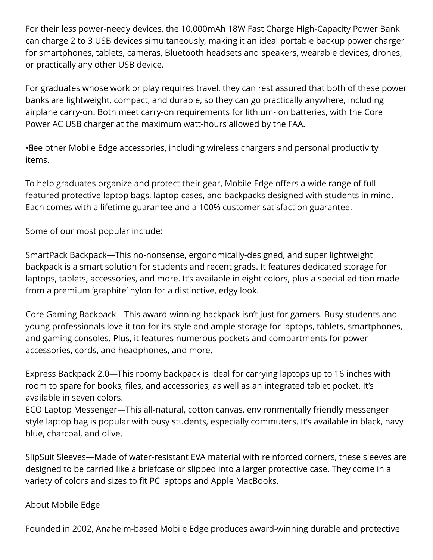For their less power-needy devices, the 10,000mAh 18W Fast Charge High-Capacity Power Bank can charge 2 to 3 USB devices simultaneously, making it an ideal portable backup power charger for smartphones, tablets, cameras, Bluetooth headsets and speakers, wearable devices, drones, or practically any other USB device.

For graduates whose work or play requires travel, they can rest assured that both of these power banks are lightweight, compact, and durable, so they can go practically anywhere, including airplane carry-on. Both meet carry-on requirements for lithium-ion batteries, with the Core Power AC USB charger at the maximum watt-hours allowed by the FAA.

• See other Mobile Edge accessories, including wireless chargers and personal productivity items.

To help graduates organize and protect their gear, Mobile Edge offers a wide range of fullfeatured protective laptop bags, laptop cases, and backpacks designed with students in mind. Each comes with a lifetime guarantee and a 100% customer satisfaction guarantee.

Some of our most popular include:

SmartPack Backpack—This no-nonsense, ergonomically-designed, and super lightweight backpack is a smart solution for students and recent grads. It features dedicated storage for laptops, tablets, accessories, and more. It's available in eight colors, plus a special edition made from a premium 'graphite' nylon for a distinctive, edgy look.

Core Gaming Backpack—This award-winning backpack isn't just for gamers. Busy students and young professionals love it too for its style and ample storage for laptops, tablets, smartphones, and gaming consoles. Plus, it features numerous pockets and compartments for power accessories, cords, and headphones, and more.

Express Backpack 2.0—This roomy backpack is ideal for carrying laptops up to 16 inches with room to spare for books, files, and accessories, as well as an integrated tablet pocket. It's available in seven colors.

ECO Laptop Messenger—This all-natural, cotton canvas, environmentally friendly messenger style laptop bag is popular with busy students, especially commuters. It's available in black, navy blue, charcoal, and olive.

SlipSuit Sleeves—Made of water-resistant EVA material with reinforced corners, these sleeves are designed to be carried like a briefcase or slipped into a larger protective case. They come in a variety of colors and sizes to fit PC laptops and Apple MacBooks.

## About Mobile Edge

Founded in 2002, Anaheim-based Mobile Edge produces award-winning durable and protective